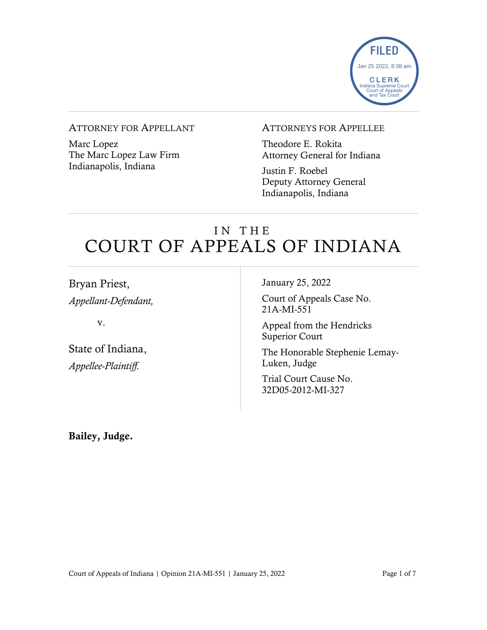

#### ATTORNEY FOR APPELLANT

Marc Lopez The Marc Lopez Law Firm Indianapolis, Indiana

### ATTORNEYS FOR APPELLEE

Theodore E. Rokita Attorney General for Indiana

Justin F. Roebel Deputy Attorney General Indianapolis, Indiana

# IN THE COURT OF APPEALS OF INDIANA

Bryan Priest, *Appellant-Defendant,*

v.

State of Indiana, *Appellee-Plaintiff.*

January 25, 2022

Court of Appeals Case No. 21A-MI-551

Appeal from the Hendricks Superior Court

The Honorable Stephenie Lemay-Luken, Judge

Trial Court Cause No. 32D05-2012-MI-327

Bailey, Judge.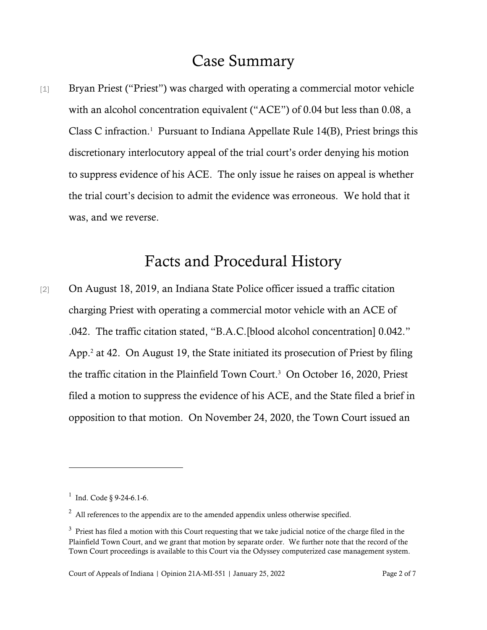### Case Summary

[1] Bryan Priest ("Priest") was charged with operating a commercial motor vehicle with an alcohol concentration equivalent ("ACE") of 0.04 but less than 0.08, a Class C infraction. 1 Pursuant to Indiana Appellate Rule 14(B), Priest brings this discretionary interlocutory appeal of the trial court's order denying his motion to suppress evidence of his ACE. The only issue he raises on appeal is whether the trial court's decision to admit the evidence was erroneous. We hold that it was, and we reverse.

# Facts and Procedural History

[2] On August 18, 2019, an Indiana State Police officer issued a traffic citation charging Priest with operating a commercial motor vehicle with an ACE of .042. The traffic citation stated, "B.A.C.[blood alcohol concentration] 0.042." App.<sup>2</sup> at 42. On August 19, the State initiated its prosecution of Priest by filing the traffic citation in the Plainfield Town Court. 3 On October 16, 2020, Priest filed a motion to suppress the evidence of his ACE, and the State filed a brief in opposition to that motion. On November 24, 2020, the Town Court issued an

<sup>&</sup>lt;sup>1</sup> Ind. Code § 9-24-6.1-6.

 $2$  All references to the appendix are to the amended appendix unless otherwise specified.

 $3$  Priest has filed a motion with this Court requesting that we take judicial notice of the charge filed in the Plainfield Town Court, and we grant that motion by separate order. We further note that the record of the Town Court proceedings is available to this Court via the Odyssey computerized case management system.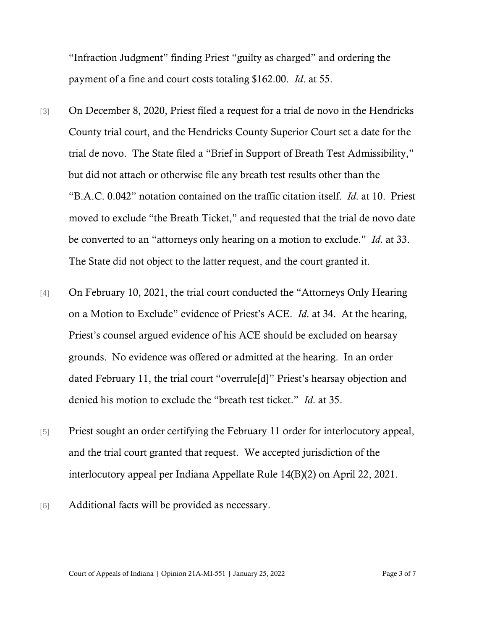"Infraction Judgment" finding Priest "guilty as charged" and ordering the payment of a fine and court costs totaling \$162.00. *Id*. at 55.

- [3] On December 8, 2020, Priest filed a request for a trial de novo in the Hendricks County trial court, and the Hendricks County Superior Court set a date for the trial de novo. The State filed a "Brief in Support of Breath Test Admissibility," but did not attach or otherwise file any breath test results other than the "B.A.C. 0.042" notation contained on the traffic citation itself. *Id*. at 10. Priest moved to exclude "the Breath Ticket," and requested that the trial de novo date be converted to an "attorneys only hearing on a motion to exclude." *Id*. at 33. The State did not object to the latter request, and the court granted it.
- [4] On February 10, 2021, the trial court conducted the "Attorneys Only Hearing on a Motion to Exclude" evidence of Priest's ACE. *Id*. at 34. At the hearing, Priest's counsel argued evidence of his ACE should be excluded on hearsay grounds. No evidence was offered or admitted at the hearing. In an order dated February 11, the trial court "overrule[d]" Priest's hearsay objection and denied his motion to exclude the "breath test ticket." *Id*. at 35.
- [5] Priest sought an order certifying the February 11 order for interlocutory appeal, and the trial court granted that request. We accepted jurisdiction of the interlocutory appeal per Indiana Appellate Rule 14(B)(2) on April 22, 2021.
- [6] Additional facts will be provided as necessary.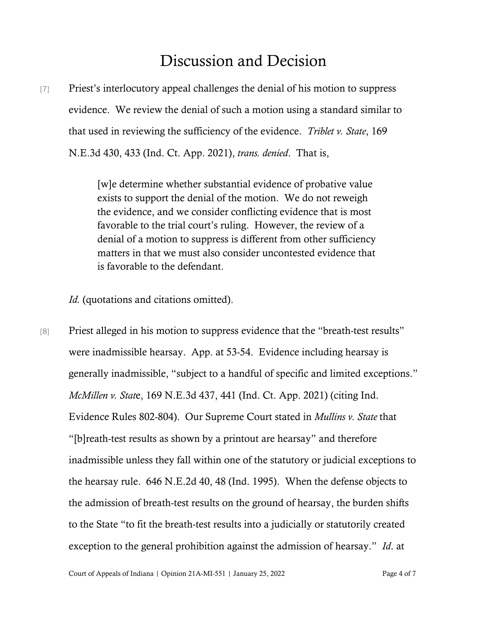# Discussion and Decision

[7] Priest's interlocutory appeal challenges the denial of his motion to suppress evidence. We review the denial of such a motion using a standard similar to that used in reviewing the sufficiency of the evidence. *Triblet v. State*, 169 N.E.3d 430, 433 (Ind. Ct. App. 2021), *trans. denied*. That is,

> [w]e determine whether substantial evidence of probative value exists to support the denial of the motion. We do not reweigh the evidence, and we consider conflicting evidence that is most favorable to the trial court's ruling. However, the review of a denial of a motion to suppress is different from other sufficiency matters in that we must also consider uncontested evidence that is favorable to the defendant.

*Id.* (quotations and citations omitted).

[8] Priest alleged in his motion to suppress evidence that the "breath-test results" were inadmissible hearsay. App. at 53-54. Evidence including hearsay is generally inadmissible, "subject to a handful of specific and limited exceptions." *McMillen v. Stat*e, 169 N.E.3d 437, 441 (Ind. Ct. App. 2021) (citing Ind. Evidence Rules 802-804). Our Supreme Court stated in *Mullins v. State* that "[b]reath-test results as shown by a printout are hearsay" and therefore inadmissible unless they fall within one of the statutory or judicial exceptions to the hearsay rule. 646 N.E.2d 40, 48 (Ind. 1995). When the defense objects to the admission of breath-test results on the ground of hearsay, the burden shifts to the State "to fit the breath-test results into a judicially or statutorily created exception to the general prohibition against the admission of hearsay." *Id*. at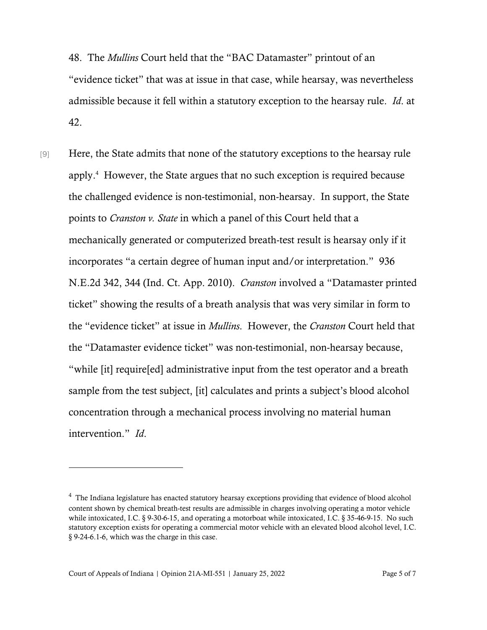48. The *Mullins* Court held that the "BAC Datamaster" printout of an "evidence ticket" that was at issue in that case, while hearsay, was nevertheless admissible because it fell within a statutory exception to the hearsay rule. *Id*. at 42.

[9] Here, the State admits that none of the statutory exceptions to the hearsay rule apply.<sup>4</sup> However, the State argues that no such exception is required because the challenged evidence is non-testimonial, non-hearsay. In support, the State points to *Cranston v. State* in which a panel of this Court held that a mechanically generated or computerized breath-test result is hearsay only if it incorporates "a certain degree of human input and/or interpretation." 936 N.E.2d 342, 344 (Ind. Ct. App. 2010). *Cranston* involved a "Datamaster printed ticket" showing the results of a breath analysis that was very similar in form to the "evidence ticket" at issue in *Mullins*. However, the *Cranston* Court held that the "Datamaster evidence ticket" was non-testimonial, non-hearsay because, "while [it] require[ed] administrative input from the test operator and a breath sample from the test subject, [it] calculates and prints a subject's blood alcohol concentration through a mechanical process involving no material human intervention." *Id*.

<sup>&</sup>lt;sup>4</sup> The Indiana legislature has enacted statutory hearsay exceptions providing that evidence of blood alcohol content shown by chemical breath-test results are admissible in charges involving operating a motor vehicle while intoxicated, I.C. § 9-30-6-15, and operating a motorboat while intoxicated, I.C. § 35-46-9-15. No such statutory exception exists for operating a commercial motor vehicle with an elevated blood alcohol level, I.C. § 9-24-6.1-6, which was the charge in this case.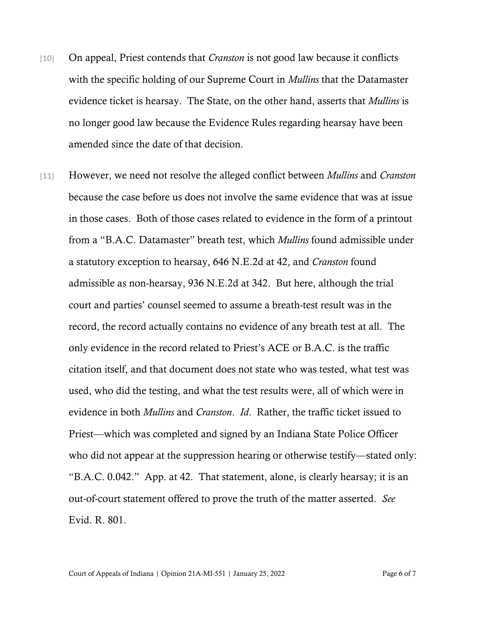- [10] On appeal, Priest contends that *Cranston* is not good law because it conflicts with the specific holding of our Supreme Court in *Mullins* that the Datamaster evidence ticket is hearsay. The State, on the other hand, asserts that *Mullins* is no longer good law because the Evidence Rules regarding hearsay have been amended since the date of that decision.
- [11] However, we need not resolve the alleged conflict between *Mullins* and *Cranston* because the case before us does not involve the same evidence that was at issue in those cases. Both of those cases related to evidence in the form of a printout from a "B.A.C. Datamaster" breath test, which *Mullins* found admissible under a statutory exception to hearsay, 646 N.E.2d at 42, and *Cranston* found admissible as non-hearsay, 936 N.E.2d at 342. But here, although the trial court and parties' counsel seemed to assume a breath-test result was in the record, the record actually contains no evidence of any breath test at all. The only evidence in the record related to Priest's ACE or B.A.C. is the traffic citation itself, and that document does not state who was tested, what test was used, who did the testing, and what the test results were, all of which were in evidence in both *Mullins* and *Cranston*. *Id*. Rather, the traffic ticket issued to Priest—which was completed and signed by an Indiana State Police Officer who did not appear at the suppression hearing or otherwise testify—stated only: "B.A.C. 0.042." App. at 42. That statement, alone, is clearly hearsay; it is an out-of-court statement offered to prove the truth of the matter asserted. *See* Evid. R. 801.